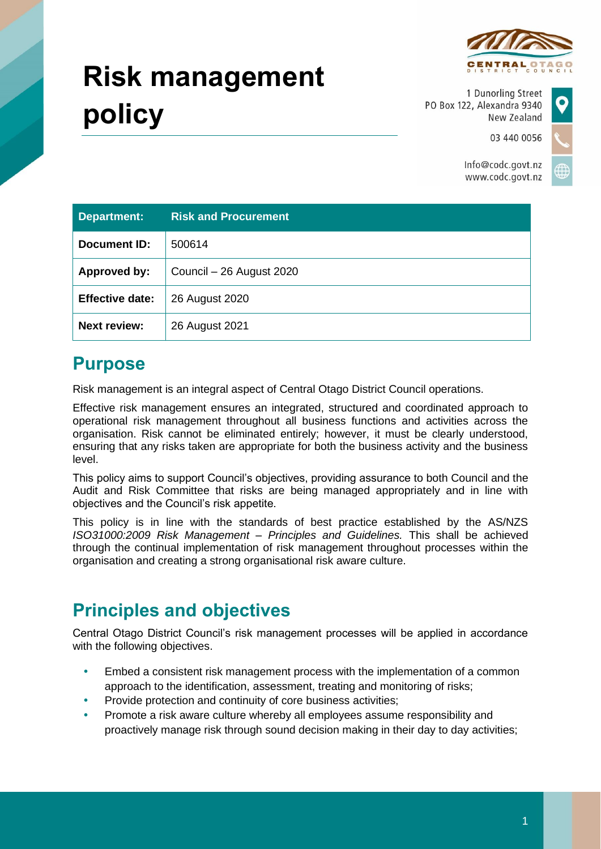

03 440 0056

# **Risk management policy**

1 Dunorling Street PO Box 122, Alexandra 9340 New Zealand

Info@codc.govt.nz www.codc.govt.nz

| <b>Department:</b>     | <b>Risk and Procurement</b> |
|------------------------|-----------------------------|
| Document ID:           | 500614                      |
| Approved by:           | Council - 26 August 2020    |
| <b>Effective date:</b> | 26 August 2020              |
| <b>Next review:</b>    | 26 August 2021              |

## **Purpose**

Risk management is an integral aspect of Central Otago District Council operations.

Effective risk management ensures an integrated, structured and coordinated approach to operational risk management throughout all business functions and activities across the organisation. Risk cannot be eliminated entirely; however, it must be clearly understood, ensuring that any risks taken are appropriate for both the business activity and the business level.

This policy aims to support Council's objectives, providing assurance to both Council and the Audit and Risk Committee that risks are being managed appropriately and in line with objectives and the Council's risk appetite.

This policy is in line with the standards of best practice established by the AS/NZS *ISO31000:2009 Risk Management – Principles and Guidelines.* This shall be achieved through the continual implementation of risk management throughout processes within the organisation and creating a strong organisational risk aware culture.

## **Principles and objectives**

Central Otago District Council's risk management processes will be applied in accordance with the following objectives.

- Embed a consistent risk management process with the implementation of a common approach to the identification, assessment, treating and monitoring of risks;
- Provide protection and continuity of core business activities;
- Promote a risk aware culture whereby all employees assume responsibility and proactively manage risk through sound decision making in their day to day activities;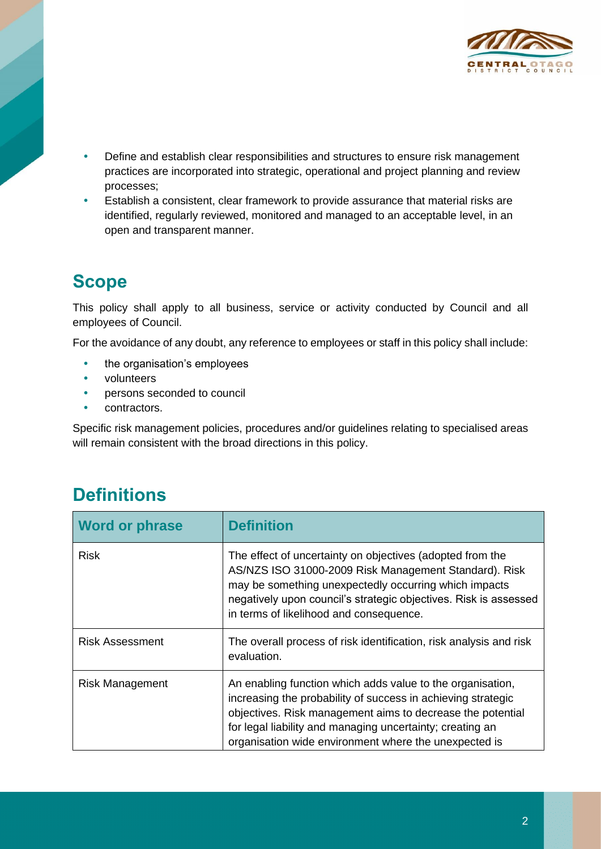

- Define and establish clear responsibilities and structures to ensure risk management practices are incorporated into strategic, operational and project planning and review processes;
- Establish a consistent, clear framework to provide assurance that material risks are identified, regularly reviewed, monitored and managed to an acceptable level, in an open and transparent manner.

## **Scope**

This policy shall apply to all business, service or activity conducted by Council and all employees of Council.

For the avoidance of any doubt, any reference to employees or staff in this policy shall include:

- the organisation's employees
- volunteers
- persons seconded to council
- contractors.

Specific risk management policies, procedures and/or guidelines relating to specialised areas will remain consistent with the broad directions in this policy.

## **Definitions**

| <b>Word or phrase</b>  | <b>Definition</b>                                                                                                                                                                                                                                                                                              |
|------------------------|----------------------------------------------------------------------------------------------------------------------------------------------------------------------------------------------------------------------------------------------------------------------------------------------------------------|
| <b>Risk</b>            | The effect of uncertainty on objectives (adopted from the<br>AS/NZS ISO 31000-2009 Risk Management Standard). Risk<br>may be something unexpectedly occurring which impacts<br>negatively upon council's strategic objectives. Risk is assessed<br>in terms of likelihood and consequence.                     |
| <b>Risk Assessment</b> | The overall process of risk identification, risk analysis and risk<br>evaluation.                                                                                                                                                                                                                              |
| <b>Risk Management</b> | An enabling function which adds value to the organisation,<br>increasing the probability of success in achieving strategic<br>objectives. Risk management aims to decrease the potential<br>for legal liability and managing uncertainty; creating an<br>organisation wide environment where the unexpected is |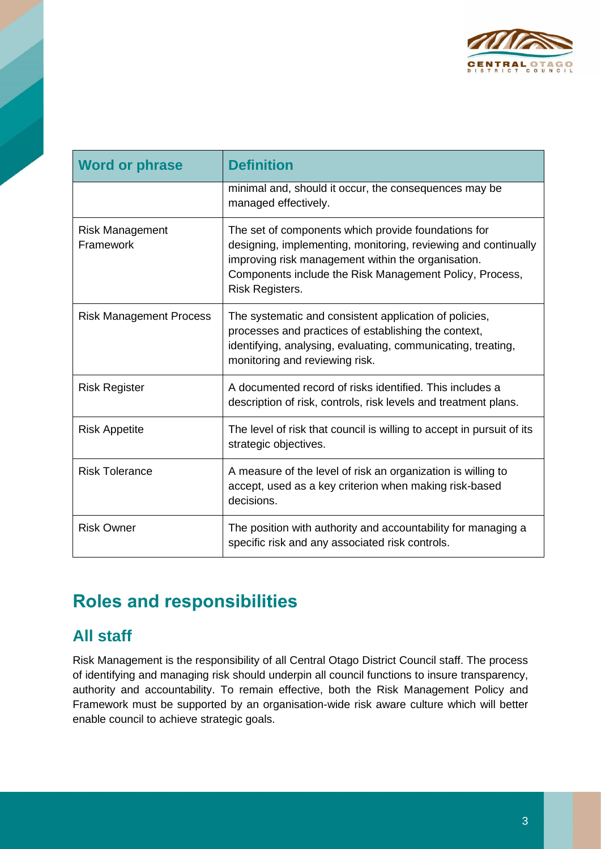

| <b>Word or phrase</b>               | <b>Definition</b>                                                                                                                                                                                                                                         |
|-------------------------------------|-----------------------------------------------------------------------------------------------------------------------------------------------------------------------------------------------------------------------------------------------------------|
|                                     | minimal and, should it occur, the consequences may be<br>managed effectively.                                                                                                                                                                             |
| <b>Risk Management</b><br>Framework | The set of components which provide foundations for<br>designing, implementing, monitoring, reviewing and continually<br>improving risk management within the organisation.<br>Components include the Risk Management Policy, Process,<br>Risk Registers. |
| <b>Risk Management Process</b>      | The systematic and consistent application of policies,<br>processes and practices of establishing the context,<br>identifying, analysing, evaluating, communicating, treating,<br>monitoring and reviewing risk.                                          |
| <b>Risk Register</b>                | A documented record of risks identified. This includes a<br>description of risk, controls, risk levels and treatment plans.                                                                                                                               |
| <b>Risk Appetite</b>                | The level of risk that council is willing to accept in pursuit of its<br>strategic objectives.                                                                                                                                                            |
| <b>Risk Tolerance</b>               | A measure of the level of risk an organization is willing to<br>accept, used as a key criterion when making risk-based<br>decisions.                                                                                                                      |
| <b>Risk Owner</b>                   | The position with authority and accountability for managing a<br>specific risk and any associated risk controls.                                                                                                                                          |

## **Roles and responsibilities**

#### **All staff**

Risk Management is the responsibility of all Central Otago District Council staff. The process of identifying and managing risk should underpin all council functions to insure transparency, authority and accountability. To remain effective, both the Risk Management Policy and Framework must be supported by an organisation-wide risk aware culture which will better enable council to achieve strategic goals.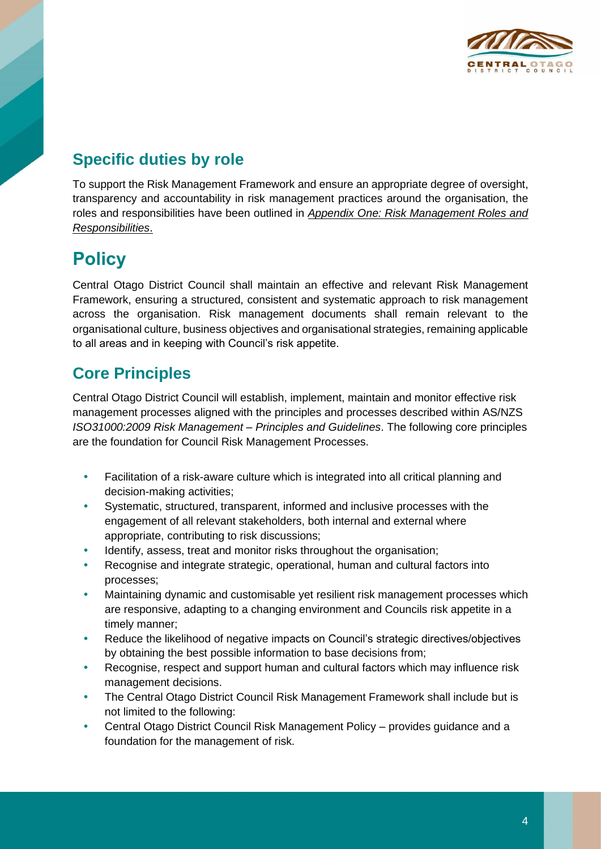

#### **Specific duties by role**

To support the Risk Management Framework and ensure an appropriate degree of oversight, transparency and accountability in risk management practices around the organisation, the roles and responsibilities have been outlined in *Appendix One: Risk Management Roles and Responsibilities*.

## **Policy**

Central Otago District Council shall maintain an effective and relevant Risk Management Framework, ensuring a structured, consistent and systematic approach to risk management across the organisation. Risk management documents shall remain relevant to the organisational culture, business objectives and organisational strategies, remaining applicable to all areas and in keeping with Council's risk appetite.

#### **Core Principles**

Central Otago District Council will establish, implement, maintain and monitor effective risk management processes aligned with the principles and processes described within AS/NZS *ISO31000:2009 Risk Management – Principles and Guidelines*. The following core principles are the foundation for Council Risk Management Processes.

- Facilitation of a risk-aware culture which is integrated into all critical planning and decision-making activities;
- Systematic, structured, transparent, informed and inclusive processes with the engagement of all relevant stakeholders, both internal and external where appropriate, contributing to risk discussions;
- Identify, assess, treat and monitor risks throughout the organisation;
- Recognise and integrate strategic, operational, human and cultural factors into processes;
- Maintaining dynamic and customisable yet resilient risk management processes which are responsive, adapting to a changing environment and Councils risk appetite in a timely manner;
- Reduce the likelihood of negative impacts on Council's strategic directives/objectives by obtaining the best possible information to base decisions from;
- Recognise, respect and support human and cultural factors which may influence risk management decisions.
- The Central Otago District Council Risk Management Framework shall include but is not limited to the following:
- Central Otago District Council Risk Management Policy provides guidance and a foundation for the management of risk.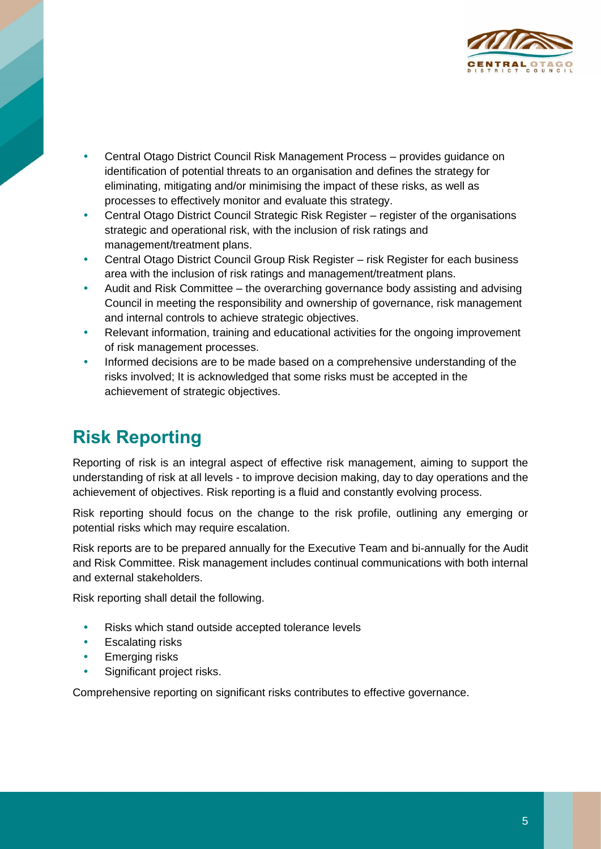

- Central Otago District Council Risk Management Process provides guidance on identification of potential threats to an organisation and defines the strategy for eliminating, mitigating and/or minimising the impact of these risks, as well as processes to effectively monitor and evaluate this strategy.
- Central Otago District Council Strategic Risk Register register of the organisations strategic and operational risk, with the inclusion of risk ratings and management/treatment plans.
- Central Otago District Council Group Risk Register risk Register for each business area with the inclusion of risk ratings and management/treatment plans.
- Audit and Risk Committee the overarching governance body assisting and advising Council in meeting the responsibility and ownership of governance, risk management and internal controls to achieve strategic objectives.
- Relevant information, training and educational activities for the ongoing improvement of risk management processes.
- Informed decisions are to be made based on a comprehensive understanding of the risks involved; It is acknowledged that some risks must be accepted in the achievement of strategic objectives.

## **Risk Reporting**

Reporting of risk is an integral aspect of effective risk management, aiming to support the understanding of risk at all levels - to improve decision making, day to day operations and the achievement of objectives. Risk reporting is a fluid and constantly evolving process.

Risk reporting should focus on the change to the risk profile, outlining any emerging or potential risks which may require escalation.

Risk reports are to be prepared annually for the Executive Team and bi-annually for the Audit and Risk Committee. Risk management includes continual communications with both internal and external stakeholders.

Risk reporting shall detail the following.

- Risks which stand outside accepted tolerance levels
- Escalating risks
- Emerging risks
- Significant project risks.

Comprehensive reporting on significant risks contributes to effective governance.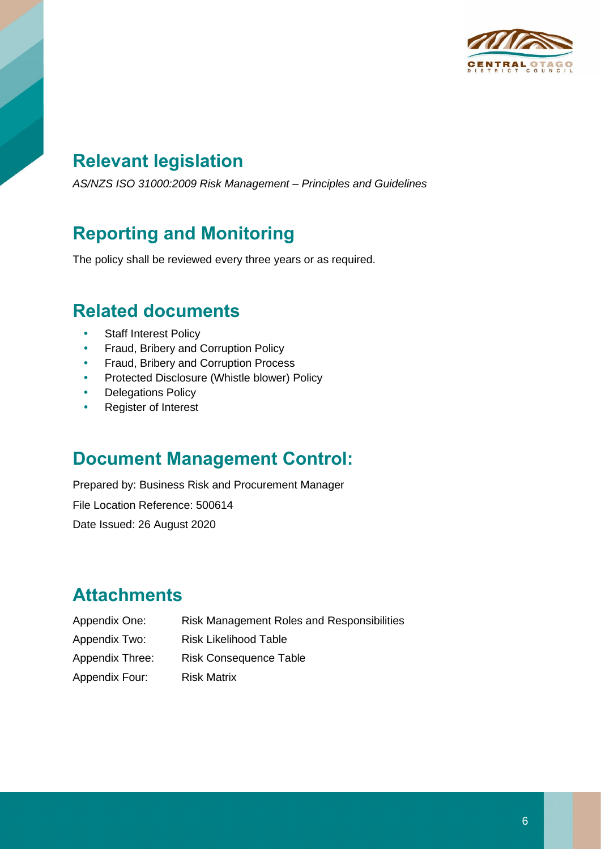

## **Relevant legislation**

*AS/NZS ISO 31000:2009 Risk Management – Principles and Guidelines*

## **Reporting and Monitoring**

The policy shall be reviewed every three years or as required.

#### **Related documents**

- Staff Interest Policy
- Fraud, Bribery and Corruption Policy
- **•** Fraud, Bribery and Corruption Process
- Protected Disclosure (Whistle blower) Policy
- Delegations Policy
- Register of Interest

#### **Document Management Control:**

Prepared by: Business Risk and Procurement Manager File Location Reference: 500614 Date Issued: 26 August 2020

## **Attachments**

| Appendix One:   | Risk Management Roles and Responsibilities |
|-----------------|--------------------------------------------|
| Appendix Two:   | Risk Likelihood Table                      |
| Appendix Three: | <b>Risk Consequence Table</b>              |
| Appendix Four:  | <b>Risk Matrix</b>                         |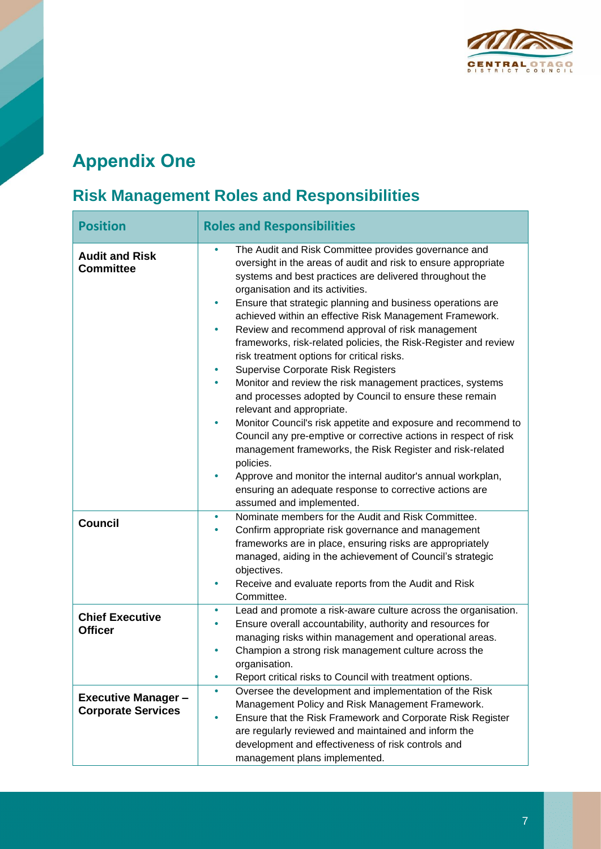

## **Appendix One**

## **Risk Management Roles and Responsibilities**

| <b>Position</b>                                         | <b>Roles and Responsibilities</b>                                                                                                                                                                                                                                                                                                                                                                                                                                                                                                                                                                                                                                                                                                                                                                                                                                                                                                                                                                                                                                                                                      |
|---------------------------------------------------------|------------------------------------------------------------------------------------------------------------------------------------------------------------------------------------------------------------------------------------------------------------------------------------------------------------------------------------------------------------------------------------------------------------------------------------------------------------------------------------------------------------------------------------------------------------------------------------------------------------------------------------------------------------------------------------------------------------------------------------------------------------------------------------------------------------------------------------------------------------------------------------------------------------------------------------------------------------------------------------------------------------------------------------------------------------------------------------------------------------------------|
| <b>Audit and Risk</b><br><b>Committee</b>               | The Audit and Risk Committee provides governance and<br>٠<br>oversight in the areas of audit and risk to ensure appropriate<br>systems and best practices are delivered throughout the<br>organisation and its activities.<br>Ensure that strategic planning and business operations are<br>٠<br>achieved within an effective Risk Management Framework.<br>Review and recommend approval of risk management<br>۰<br>frameworks, risk-related policies, the Risk-Register and review<br>risk treatment options for critical risks.<br>Supervise Corporate Risk Registers<br>٠<br>Monitor and review the risk management practices, systems<br>۰<br>and processes adopted by Council to ensure these remain<br>relevant and appropriate.<br>Monitor Council's risk appetite and exposure and recommend to<br>٠<br>Council any pre-emptive or corrective actions in respect of risk<br>management frameworks, the Risk Register and risk-related<br>policies.<br>Approve and monitor the internal auditor's annual workplan,<br>۰<br>ensuring an adequate response to corrective actions are<br>assumed and implemented. |
| <b>Council</b>                                          | Nominate members for the Audit and Risk Committee.<br>$\bullet$<br>Confirm appropriate risk governance and management<br>٠<br>frameworks are in place, ensuring risks are appropriately<br>managed, aiding in the achievement of Council's strategic<br>objectives.<br>Receive and evaluate reports from the Audit and Risk<br>٠<br>Committee.                                                                                                                                                                                                                                                                                                                                                                                                                                                                                                                                                                                                                                                                                                                                                                         |
| <b>Chief Executive</b><br><b>Officer</b>                | Lead and promote a risk-aware culture across the organisation.<br>٠<br>Ensure overall accountability, authority and resources for<br>managing risks within management and operational areas.<br>Champion a strong risk management culture across the<br>۰<br>organisation.<br>Report critical risks to Council with treatment options.<br>٠                                                                                                                                                                                                                                                                                                                                                                                                                                                                                                                                                                                                                                                                                                                                                                            |
| <b>Executive Manager -</b><br><b>Corporate Services</b> | Oversee the development and implementation of the Risk<br>٠<br>Management Policy and Risk Management Framework.<br>Ensure that the Risk Framework and Corporate Risk Register<br>۰<br>are regularly reviewed and maintained and inform the<br>development and effectiveness of risk controls and<br>management plans implemented.                                                                                                                                                                                                                                                                                                                                                                                                                                                                                                                                                                                                                                                                                                                                                                                      |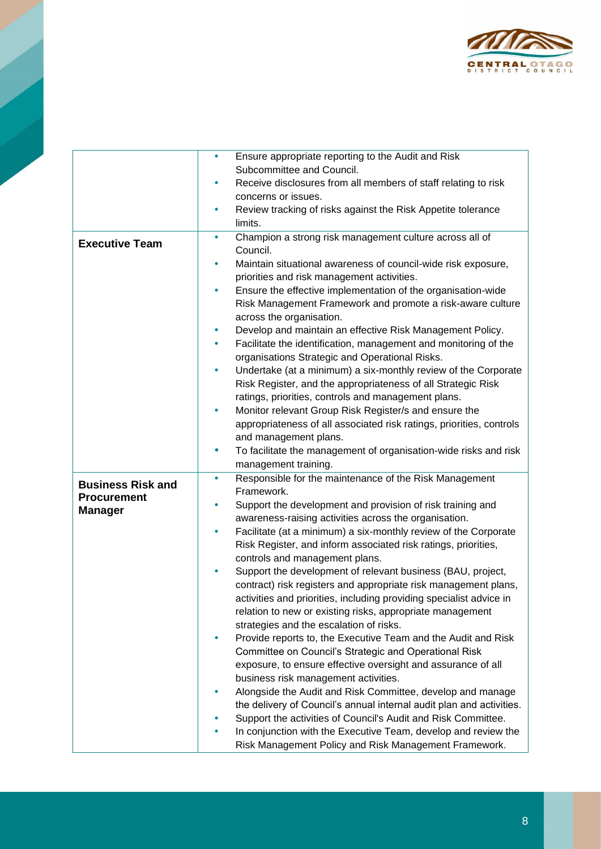

|                          | $\bullet$ | Ensure appropriate reporting to the Audit and Risk                             |
|--------------------------|-----------|--------------------------------------------------------------------------------|
|                          |           | Subcommittee and Council.                                                      |
|                          |           | Receive disclosures from all members of staff relating to risk                 |
|                          |           | concerns or issues.                                                            |
|                          |           | Review tracking of risks against the Risk Appetite tolerance                   |
|                          |           | limits.                                                                        |
| <b>Executive Team</b>    | $\bullet$ | Champion a strong risk management culture across all of                        |
|                          |           | Council.                                                                       |
|                          |           | Maintain situational awareness of council-wide risk exposure,                  |
|                          |           | priorities and risk management activities.                                     |
|                          | $\bullet$ | Ensure the effective implementation of the organisation-wide                   |
|                          |           | Risk Management Framework and promote a risk-aware culture                     |
|                          |           | across the organisation.                                                       |
|                          |           | Develop and maintain an effective Risk Management Policy.                      |
|                          | ٠         | Facilitate the identification, management and monitoring of the                |
|                          |           | organisations Strategic and Operational Risks.                                 |
|                          | $\bullet$ | Undertake (at a minimum) a six-monthly review of the Corporate                 |
|                          |           | Risk Register, and the appropriateness of all Strategic Risk                   |
|                          |           | ratings, priorities, controls and management plans.                            |
|                          | ٠         | Monitor relevant Group Risk Register/s and ensure the                          |
|                          |           | appropriateness of all associated risk ratings, priorities, controls           |
|                          | $\bullet$ | and management plans.                                                          |
|                          |           | To facilitate the management of organisation-wide risks and risk               |
|                          | $\bullet$ | management training.<br>Responsible for the maintenance of the Risk Management |
| <b>Business Risk and</b> |           | Framework.                                                                     |
| <b>Procurement</b>       | $\bullet$ | Support the development and provision of risk training and                     |
| <b>Manager</b>           |           | awareness-raising activities across the organisation.                          |
|                          | ۰         | Facilitate (at a minimum) a six-monthly review of the Corporate                |
|                          |           | Risk Register, and inform associated risk ratings, priorities,                 |
|                          |           | controls and management plans.                                                 |
|                          |           | Support the development of relevant business (BAU, project,                    |
|                          |           | contract) risk registers and appropriate risk management plans,                |
|                          |           | activities and priorities, including providing specialist advice in            |
|                          |           | relation to new or existing risks, appropriate management                      |
|                          |           | strategies and the escalation of risks.                                        |
|                          |           | Provide reports to, the Executive Team and the Audit and Risk                  |
|                          |           | Committee on Council's Strategic and Operational Risk                          |
|                          |           | exposure, to ensure effective oversight and assurance of all                   |
|                          |           | business risk management activities.                                           |
|                          |           | Alongside the Audit and Risk Committee, develop and manage                     |
|                          |           | the delivery of Council's annual internal audit plan and activities.           |
|                          |           | Support the activities of Council's Audit and Risk Committee.                  |
|                          |           | In conjunction with the Executive Team, develop and review the                 |
|                          |           | Risk Management Policy and Risk Management Framework.                          |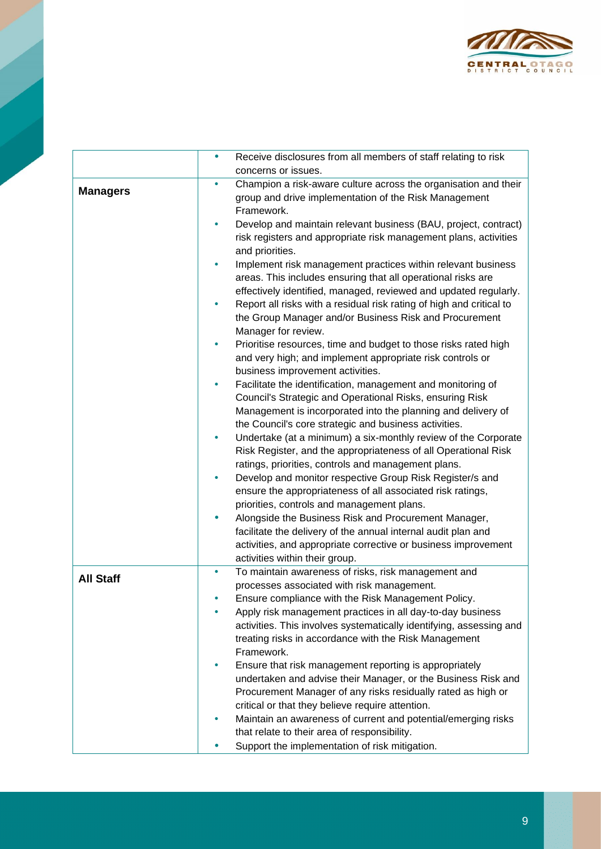

|                  | $\bullet$ | Receive disclosures from all members of staff relating to risk                                                                                                                                                                                   |
|------------------|-----------|--------------------------------------------------------------------------------------------------------------------------------------------------------------------------------------------------------------------------------------------------|
|                  |           | concerns or issues.                                                                                                                                                                                                                              |
| <b>Managers</b>  |           | Champion a risk-aware culture across the organisation and their<br>group and drive implementation of the Risk Management<br>Framework.                                                                                                           |
|                  |           | Develop and maintain relevant business (BAU, project, contract)<br>risk registers and appropriate risk management plans, activities<br>and priorities.                                                                                           |
|                  |           | Implement risk management practices within relevant business<br>areas. This includes ensuring that all operational risks are<br>effectively identified, managed, reviewed and updated regularly.                                                 |
|                  |           | Report all risks with a residual risk rating of high and critical to<br>the Group Manager and/or Business Risk and Procurement<br>Manager for review.                                                                                            |
|                  |           | Prioritise resources, time and budget to those risks rated high<br>and very high; and implement appropriate risk controls or<br>business improvement activities.                                                                                 |
|                  |           | Facilitate the identification, management and monitoring of<br>Council's Strategic and Operational Risks, ensuring Risk<br>Management is incorporated into the planning and delivery of<br>the Council's core strategic and business activities. |
|                  |           | Undertake (at a minimum) a six-monthly review of the Corporate<br>Risk Register, and the appropriateness of all Operational Risk<br>ratings, priorities, controls and management plans.                                                          |
|                  |           | Develop and monitor respective Group Risk Register/s and<br>ensure the appropriateness of all associated risk ratings,<br>priorities, controls and management plans.                                                                             |
|                  |           | Alongside the Business Risk and Procurement Manager,<br>facilitate the delivery of the annual internal audit plan and<br>activities, and appropriate corrective or business improvement<br>activities within their group.                        |
| <b>All Staff</b> |           | To maintain awareness of risks, risk management and<br>processes associated with risk management.                                                                                                                                                |
|                  |           | Ensure compliance with the Risk Management Policy.                                                                                                                                                                                               |
|                  |           | Apply risk management practices in all day-to-day business                                                                                                                                                                                       |
|                  |           | activities. This involves systematically identifying, assessing and                                                                                                                                                                              |
|                  |           | treating risks in accordance with the Risk Management                                                                                                                                                                                            |
|                  |           | Framework.                                                                                                                                                                                                                                       |
|                  |           | Ensure that risk management reporting is appropriately<br>undertaken and advise their Manager, or the Business Risk and                                                                                                                          |
|                  |           | Procurement Manager of any risks residually rated as high or                                                                                                                                                                                     |
|                  |           | critical or that they believe require attention.                                                                                                                                                                                                 |
|                  |           | Maintain an awareness of current and potential/emerging risks                                                                                                                                                                                    |
|                  |           | that relate to their area of responsibility.                                                                                                                                                                                                     |
|                  |           | Support the implementation of risk mitigation.                                                                                                                                                                                                   |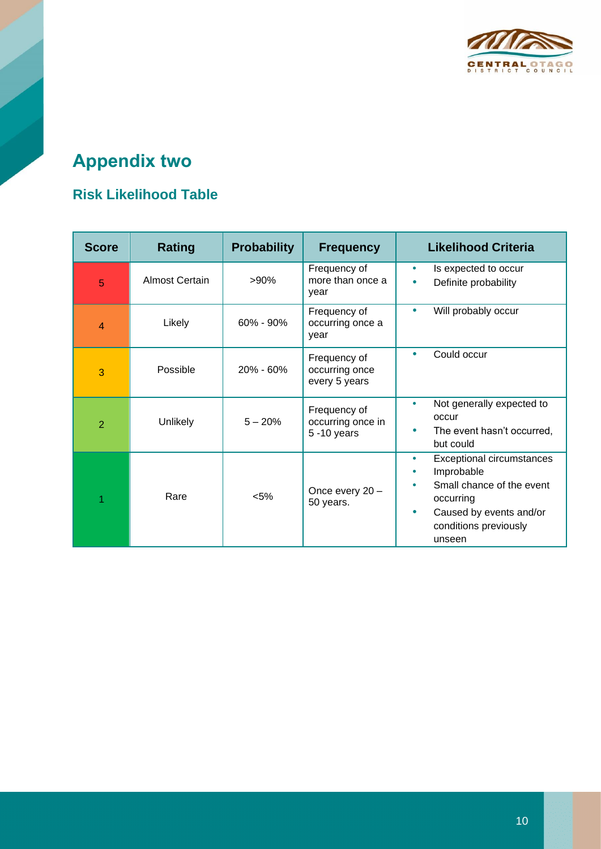

# **Appendix two**

#### **Risk Likelihood Table**

| <b>Score</b>   | <b>Rating</b>         | <b>Probability</b> | <b>Frequency</b>                                    | <b>Likelihood Criteria</b>                                                                                                                                               |
|----------------|-----------------------|--------------------|-----------------------------------------------------|--------------------------------------------------------------------------------------------------------------------------------------------------------------------------|
| 5              | <b>Almost Certain</b> | $>90\%$            | Frequency of<br>more than once a<br>year            | Is expected to occur<br>۰<br>Definite probability<br>$\bullet$                                                                                                           |
| 4              | Likely                | $60\% - 90\%$      | Frequency of<br>occurring once a<br>year            | Will probably occur<br>$\bullet$                                                                                                                                         |
| 3              | Possible              | $20\% - 60\%$      | Frequency of<br>occurring once<br>every 5 years     | Could occur<br>$\bullet$                                                                                                                                                 |
| $\overline{2}$ | Unlikely              | $5 - 20%$          | Frequency of<br>occurring once in<br>$5 - 10$ years | Not generally expected to<br>۰<br>occur<br>The event hasn't occurred,<br>but could                                                                                       |
|                | Rare                  | $< 5\%$            | Once every 20 -<br>50 years.                        | <b>Exceptional circumstances</b><br>۰<br>Improbable<br>Small chance of the event<br>occurring<br>Caused by events and/or<br>$\bullet$<br>conditions previously<br>unseen |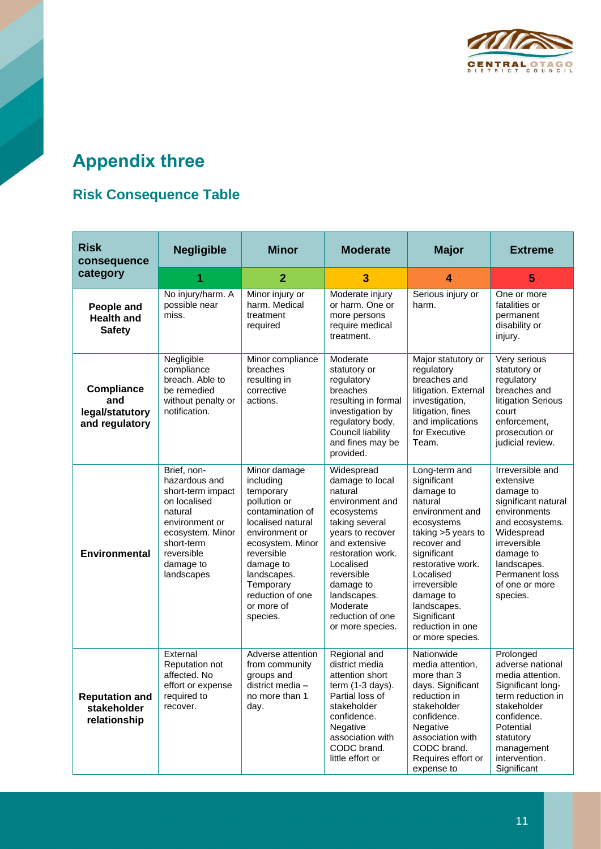

# **Appendix three**

#### **Risk Consequence Table**

| <b>Risk</b><br>consequence                             | <b>Negligible</b>                                                                                                                                                         | <b>Minor</b>                                                                                                                                                                                                                               | <b>Moderate</b>                                                                                                                                                                                                                                                  | <b>Major</b>                                                                                                                                                                                                                                                                   | <b>Extreme</b>                                                                                                                                                                                                 |
|--------------------------------------------------------|---------------------------------------------------------------------------------------------------------------------------------------------------------------------------|--------------------------------------------------------------------------------------------------------------------------------------------------------------------------------------------------------------------------------------------|------------------------------------------------------------------------------------------------------------------------------------------------------------------------------------------------------------------------------------------------------------------|--------------------------------------------------------------------------------------------------------------------------------------------------------------------------------------------------------------------------------------------------------------------------------|----------------------------------------------------------------------------------------------------------------------------------------------------------------------------------------------------------------|
| category                                               |                                                                                                                                                                           | $\overline{2}$                                                                                                                                                                                                                             | 3                                                                                                                                                                                                                                                                | 4                                                                                                                                                                                                                                                                              | 5                                                                                                                                                                                                              |
| People and<br><b>Health and</b><br><b>Safety</b>       | No injury/harm. A<br>possible near<br>miss.                                                                                                                               | Minor injury or<br>harm. Medical<br>treatment<br>required                                                                                                                                                                                  | Moderate injury<br>or harm. One or<br>more persons<br>require medical<br>treatment.                                                                                                                                                                              | Serious injury or<br>harm.                                                                                                                                                                                                                                                     | One or more<br>fatalities or<br>permanent<br>disability or<br>injury.                                                                                                                                          |
| Compliance<br>and<br>legal/statutory<br>and regulatory | Negligible<br>compliance<br>breach. Able to<br>be remedied<br>without penalty or<br>notification.                                                                         | Minor compliance<br>breaches<br>resulting in<br>corrective<br>actions.                                                                                                                                                                     | Moderate<br>statutory or<br>regulatory<br>breaches<br>resulting in formal<br>investigation by<br>regulatory body,<br>Council liability<br>and fines may be<br>provided.                                                                                          | Major statutory or<br>regulatory<br>breaches and<br>litigation. External<br>investigation,<br>litigation, fines<br>and implications<br>for Executive<br>Team.                                                                                                                  | Very serious<br>statutory or<br>regulatory<br>breaches and<br>litigation Serious<br>court<br>enforcement,<br>prosecution or<br>judicial review.                                                                |
| <b>Environmental</b>                                   | Brief, non-<br>hazardous and<br>short-term impact<br>on localised<br>natural<br>environment or<br>ecosystem. Minor<br>short-term<br>reversible<br>damage to<br>landscapes | Minor damage<br>including<br>temporary<br>pollution or<br>contamination of<br>localised natural<br>environment or<br>ecosystem. Minor<br>reversible<br>damage to<br>landscapes.<br>Temporary<br>reduction of one<br>or more of<br>species. | Widespread<br>damage to local<br>natural<br>environment and<br>ecosystems<br>taking several<br>years to recover<br>and extensive<br>restoration work.<br>Localised<br>reversible<br>damage to<br>landscapes.<br>Moderate<br>reduction of one<br>or more species. | Long-term and<br>significant<br>damage to<br>natural<br>environment and<br>ecosystems<br>taking >5 years to<br>recover and<br>significant<br>restorative work.<br>Localised<br>irreversible<br>damage to<br>landscapes.<br>Significant<br>reduction in one<br>or more species. | Irreversible and<br>extensive<br>damage to<br>significant natural<br>environments<br>and ecosystems.<br>Widespread<br>irreversible<br>damage to<br>landscapes.<br>Permanent loss<br>of one or more<br>species. |
| <b>Reputation and</b><br>stakeholder<br>relationship   | External<br>Reputation not<br>affected. No<br>effort or expense<br>required to<br>recover.                                                                                | Adverse attention<br>from community<br>groups and<br>district media -<br>no more than 1<br>day.                                                                                                                                            | Regional and<br>district media<br>attention short<br>term (1-3 days).<br>Partial loss of<br>stakeholder<br>confidence.<br>Negative<br>association with<br>CODC brand.<br>little effort or                                                                        | Nationwide<br>media attention,<br>more than 3<br>days. Significant<br>reduction in<br>stakeholder<br>confidence.<br>Negative<br>association with<br>CODC brand.<br>Requires effort or<br>expense to                                                                            | Prolonged<br>adverse national<br>media attention.<br>Significant long-<br>term reduction in<br>stakeholder<br>confidence.<br>Potential<br>statutory<br>management<br>intervention.<br>Significant              |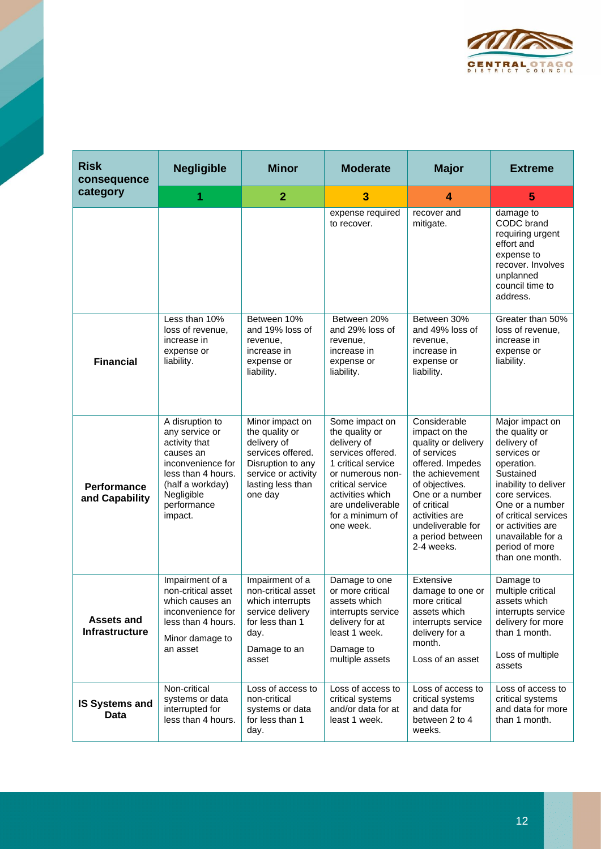

| <b>Risk</b><br>consequence                 | <b>Negligible</b>                                                                                                                                                      | <b>Minor</b>                                                                                                                                      | <b>Moderate</b>                                                                                                                                                                                              | <b>Major</b>                                                                                                                                                                                                                            | <b>Extreme</b>                                                                                                                                                                                                                                                 |
|--------------------------------------------|------------------------------------------------------------------------------------------------------------------------------------------------------------------------|---------------------------------------------------------------------------------------------------------------------------------------------------|--------------------------------------------------------------------------------------------------------------------------------------------------------------------------------------------------------------|-----------------------------------------------------------------------------------------------------------------------------------------------------------------------------------------------------------------------------------------|----------------------------------------------------------------------------------------------------------------------------------------------------------------------------------------------------------------------------------------------------------------|
| category                                   | 1                                                                                                                                                                      | $\overline{2}$                                                                                                                                    | 3                                                                                                                                                                                                            | 4                                                                                                                                                                                                                                       | 5                                                                                                                                                                                                                                                              |
|                                            |                                                                                                                                                                        |                                                                                                                                                   | expense required<br>to recover.                                                                                                                                                                              | recover and<br>mitigate.                                                                                                                                                                                                                | damage to<br>CODC brand<br>requiring urgent<br>effort and<br>expense to<br>recover. Involves<br>unplanned<br>council time to<br>address.                                                                                                                       |
| <b>Financial</b>                           | Less than 10%<br>loss of revenue,<br>increase in<br>expense or<br>liability.                                                                                           | Between 10%<br>and 19% loss of<br>revenue,<br>increase in<br>expense or<br>liability.                                                             | Between 20%<br>and 29% loss of<br>revenue,<br>increase in<br>expense or<br>liability.                                                                                                                        | Between 30%<br>and 49% loss of<br>revenue,<br>increase in<br>expense or<br>liability.                                                                                                                                                   | Greater than 50%<br>loss of revenue,<br>increase in<br>expense or<br>liability.                                                                                                                                                                                |
| <b>Performance</b><br>and Capability       | A disruption to<br>any service or<br>activity that<br>causes an<br>inconvenience for<br>less than 4 hours.<br>(half a workday)<br>Negligible<br>performance<br>impact. | Minor impact on<br>the quality or<br>delivery of<br>services offered.<br>Disruption to any<br>service or activity<br>lasting less than<br>one day | Some impact on<br>the quality or<br>delivery of<br>services offered.<br>1 critical service<br>or numerous non-<br>critical service<br>activities which<br>are undeliverable<br>for a minimum of<br>one week. | Considerable<br>impact on the<br>quality or delivery<br>of services<br>offered. Impedes<br>the achievement<br>of objectives.<br>One or a number<br>of critical<br>activities are<br>undeliverable for<br>a period between<br>2-4 weeks. | Major impact on<br>the quality or<br>delivery of<br>services or<br>operation.<br>Sustained<br>inability to deliver<br>core services.<br>One or a number<br>of critical services<br>or activities are<br>unavailable for a<br>period of more<br>than one month. |
| <b>Assets and</b><br><b>Infrastructure</b> | Impairment of a<br>non-critical asset<br>which causes an<br>inconvenience for<br>less than 4 hours.<br>Minor damage to<br>an asset                                     | Impairment of a<br>non-critical asset<br>which interrupts<br>service delivery<br>for less than 1<br>day.<br>Damage to an<br>asset                 | Damage to one<br>or more critical<br>assets which<br>interrupts service<br>delivery for at<br>least 1 week.<br>Damage to<br>multiple assets                                                                  | Extensive<br>damage to one or<br>more critical<br>assets which<br>interrupts service<br>delivery for a<br>month.<br>Loss of an asset                                                                                                    | Damage to<br>multiple critical<br>assets which<br>interrupts service<br>delivery for more<br>than 1 month.<br>Loss of multiple<br>assets                                                                                                                       |
| <b>IS Systems and</b><br><b>Data</b>       | Non-critical<br>systems or data<br>interrupted for<br>less than 4 hours.                                                                                               | Loss of access to<br>non-critical<br>systems or data<br>for less than 1<br>day.                                                                   | Loss of access to<br>critical systems<br>and/or data for at<br>least 1 week.                                                                                                                                 | Loss of access to<br>critical systems<br>and data for<br>between 2 to 4<br>weeks.                                                                                                                                                       | Loss of access to<br>critical systems<br>and data for more<br>than 1 month.                                                                                                                                                                                    |